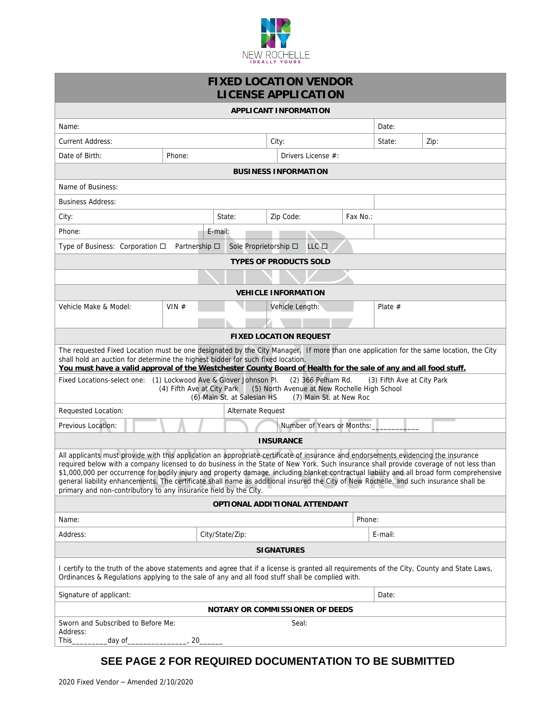

| <b>FIXED LOCATION VENDOR</b><br><b>LICENSE APPLICATION</b>                                                                                                                                                                                                                                                                                                                                                                                                                                                                                                                                                                               |         |                       |  |                    |          |           |      |  |
|------------------------------------------------------------------------------------------------------------------------------------------------------------------------------------------------------------------------------------------------------------------------------------------------------------------------------------------------------------------------------------------------------------------------------------------------------------------------------------------------------------------------------------------------------------------------------------------------------------------------------------------|---------|-----------------------|--|--------------------|----------|-----------|------|--|
| <b>APPLICANT INFORMATION</b>                                                                                                                                                                                                                                                                                                                                                                                                                                                                                                                                                                                                             |         |                       |  |                    |          |           |      |  |
| Name:                                                                                                                                                                                                                                                                                                                                                                                                                                                                                                                                                                                                                                    |         |                       |  |                    |          | Date:     |      |  |
| <b>Current Address:</b>                                                                                                                                                                                                                                                                                                                                                                                                                                                                                                                                                                                                                  |         |                       |  | City:              |          | State:    | Zip: |  |
| Date of Birth:                                                                                                                                                                                                                                                                                                                                                                                                                                                                                                                                                                                                                           | Phone:  |                       |  | Drivers License #: |          |           |      |  |
| <b>BUSINESS INFORMATION</b>                                                                                                                                                                                                                                                                                                                                                                                                                                                                                                                                                                                                              |         |                       |  |                    |          |           |      |  |
| Name of Business:                                                                                                                                                                                                                                                                                                                                                                                                                                                                                                                                                                                                                        |         |                       |  |                    |          |           |      |  |
| <b>Business Address:</b>                                                                                                                                                                                                                                                                                                                                                                                                                                                                                                                                                                                                                 |         |                       |  |                    |          |           |      |  |
| City:                                                                                                                                                                                                                                                                                                                                                                                                                                                                                                                                                                                                                                    |         | State:                |  | Zip Code:          | Fax No.: |           |      |  |
| Phone:                                                                                                                                                                                                                                                                                                                                                                                                                                                                                                                                                                                                                                   |         | E-mail:               |  |                    |          |           |      |  |
| Type of Business: Corporation $\Box$ Partnership $\Box$                                                                                                                                                                                                                                                                                                                                                                                                                                                                                                                                                                                  |         | Sole Proprietorship □ |  | LLC <b>O</b>       |          |           |      |  |
| <b>TYPES OF PRODUCTS SOLD</b>                                                                                                                                                                                                                                                                                                                                                                                                                                                                                                                                                                                                            |         |                       |  |                    |          |           |      |  |
|                                                                                                                                                                                                                                                                                                                                                                                                                                                                                                                                                                                                                                          |         |                       |  |                    |          |           |      |  |
| <b>VEHICLE INFORMATION</b>                                                                                                                                                                                                                                                                                                                                                                                                                                                                                                                                                                                                               |         |                       |  |                    |          |           |      |  |
| Vehicle Make & Model:                                                                                                                                                                                                                                                                                                                                                                                                                                                                                                                                                                                                                    | VIN $#$ |                       |  | Vehicle Length:    |          | Plate $#$ |      |  |
|                                                                                                                                                                                                                                                                                                                                                                                                                                                                                                                                                                                                                                          |         |                       |  |                    |          |           |      |  |
| <b>FIXED LOCATION REQUEST</b>                                                                                                                                                                                                                                                                                                                                                                                                                                                                                                                                                                                                            |         |                       |  |                    |          |           |      |  |
| The requested Fixed Location must be one designated by the City Manager. If more than one application for the same location, the City<br>shall hold an auction for determine the highest bidder for such fixed location.<br>You must have a valid approval of the Westchester County Board of Health for the sale of any and all food stuff.                                                                                                                                                                                                                                                                                             |         |                       |  |                    |          |           |      |  |
| Fixed Locations-select one: (1) Lockwood Ave & Glover Johnson Pl.<br>(2) 366 Pelham Rd.<br>(3) Fifth Ave at City Park<br>(4) Fifth Ave at City Park<br>(5) North Avenue at New Rochelle High School<br>(6) Main St. at Salesian HS<br>(7) Main St. at New Roc                                                                                                                                                                                                                                                                                                                                                                            |         |                       |  |                    |          |           |      |  |
| Requested Location:<br>Alternate Request                                                                                                                                                                                                                                                                                                                                                                                                                                                                                                                                                                                                 |         |                       |  |                    |          |           |      |  |
| Number of Years or Months:<br>Previous Location:                                                                                                                                                                                                                                                                                                                                                                                                                                                                                                                                                                                         |         |                       |  |                    |          |           |      |  |
| <b>INSURANCE</b>                                                                                                                                                                                                                                                                                                                                                                                                                                                                                                                                                                                                                         |         |                       |  |                    |          |           |      |  |
| All applicants must provide with this application an appropriate certificate of insurance and endorsements evidencing the insurance<br>required below with a company licensed to do business in the State of New York. Such insurance shall provide coverage of not less than<br>\$1,000,000 per occurrence for bodily injury and property damage, including blanket contractual liability and all broad form comprehensive<br>general liability enhancements. The certificate shall name as additional insured the City of New Rochelle, and such insurance shall be<br>primary and non-contributory to any insurance held by the City. |         |                       |  |                    |          |           |      |  |
| OPTIONAL ADDITIONAL ATTENDANT                                                                                                                                                                                                                                                                                                                                                                                                                                                                                                                                                                                                            |         |                       |  |                    |          |           |      |  |
| Name:                                                                                                                                                                                                                                                                                                                                                                                                                                                                                                                                                                                                                                    |         |                       |  |                    |          | Phone:    |      |  |
| Address:                                                                                                                                                                                                                                                                                                                                                                                                                                                                                                                                                                                                                                 |         | City/State/Zip:       |  |                    |          | E-mail:   |      |  |
| <b>SIGNATURES</b>                                                                                                                                                                                                                                                                                                                                                                                                                                                                                                                                                                                                                        |         |                       |  |                    |          |           |      |  |
| I certify to the truth of the above statements and agree that if a license is granted all requirements of the City, County and State Laws,<br>Ordinances & Regulations applying to the sale of any and all food stuff shall be complied with.                                                                                                                                                                                                                                                                                                                                                                                            |         |                       |  |                    |          |           |      |  |
| Signature of applicant:                                                                                                                                                                                                                                                                                                                                                                                                                                                                                                                                                                                                                  |         |                       |  |                    |          | Date:     |      |  |
| NOTARY OR COMMISSIONER OF DEEDS                                                                                                                                                                                                                                                                                                                                                                                                                                                                                                                                                                                                          |         |                       |  |                    |          |           |      |  |
| Sworn and Subscribed to Before Me:<br>Seal:<br>Address:<br>This $\_$<br>_day of_<br>20                                                                                                                                                                                                                                                                                                                                                                                                                                                                                                                                                   |         |                       |  |                    |          |           |      |  |

## **SEE PAGE 2 FOR REQUIRED DOCUMENTATION TO BE SUBMITTED**